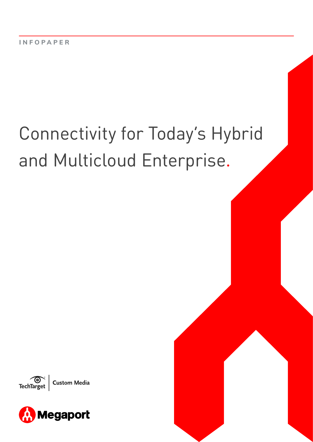# Connectivity for Today's Hybrid and Multicloud Enterprise.



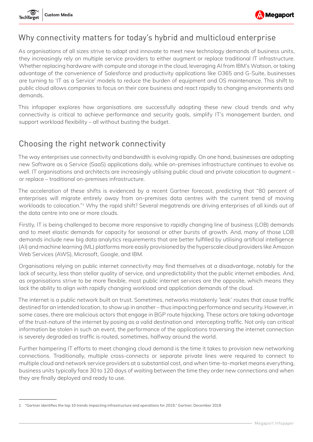



### Why connectivity matters for today's hybrid and multicloud enterprise

As organisations of all sizes strive to adapt and innovate to meet new technology demands of business units, they increasingly rely on multiple service providers to either augment or replace traditional IT infrastructure. Whether replacing hardware with compute and storage in the cloud, leveraging AI from IBM's Watson, or taking advantage of the convenience of Salesforce and productivity applications like O365 and G-Suite, businesses are turning to 'IT as a Service' models to reduce the burden of equipment and OS maintenance. This shift to public cloud allows companies to focus on their core business and react rapidly to changing environments and demands.

This infopaper explores how organisations are successfully adopting these new cloud trends and why connectivity is critical to achieve performance and security goals, simplify IT's management burden, and support workload flexibility – all without busting the budget.

### Choosing the right network connectivity

The way enterprises use connectivity and bandwidth is evolving rapidly. On one hand, businesses are adopting new Software as a Service (SaaS) applications daily, while on-premises infrastructure continues to evolve as well. IT organisations and architects are increasingly utilising public cloud and private colocation to augment – or replace – traditional on-premises infrastructure.

The acceleration of these shifts is evidenced by a recent Gartner forecast, predicting that "80 percent of enterprises will migrate entirely away from on-premises data centres with the current trend of moving workloads to colocation."<sup>1</sup> Why the rapid shift? Several megatrends are driving enterprises of all kinds out of the data centre into one or more clouds.

Firstly, IT is being challenged to become more responsive to rapidly changing line of business (LOB) demands and to meet elastic demands for capacity for seasonal or other bursts of growth. And, many of those LOB demands include new big data analytics requirements that are better fulfilled by utilising artificial intelligence (AI) and machine learning (ML) platforms more easily provisioned by the hyperscale cloud providers like Amazon Web Services (AWS), Microsoft, Google, and IBM.

Organisations relying on public internet connectivity may find themselves at a disadvantage, notably for the lack of security, less than stellar quality of service, and unpredictability that the public internet embodies. And, as organisations strive to be more flexible, most public internet services are the opposite, which means they lack the ability to align with rapidly changing workload and application demands of the cloud.

The internet is a public network built on trust. Sometimes, networks mistakenly 'leak' routes that cause traffic destined for an intended location, to show up in another – thus impacting performance and security.However, in some cases, there are malicious actors that engage in BGP route hijacking. These actors are taking advantage of the trust-nature of the internet by posing as a valid destination and intercepting traffic. Not only can critical information be stolen in such an event, the performance of the applications traversing the internet connection is severely degraded as traffic is routed, sometimes, halfway around the world.

Further hampering IT efforts to meet changing cloud demand is the time it takes to provision new networking connections. Traditionally, multiple cross-connects or separate private lines were required to connect to multiple cloud and network service providers at a substantial cost, and when time-to-market means everything, business units typically face 30 to 120 days of waiting between the time they order new connections and when they are finally deployed and ready to use.

<sup>&</sup>quot;Gartner identifies the top 10 trends impacting infrastructure and operations for 2019," Gartner, December 2018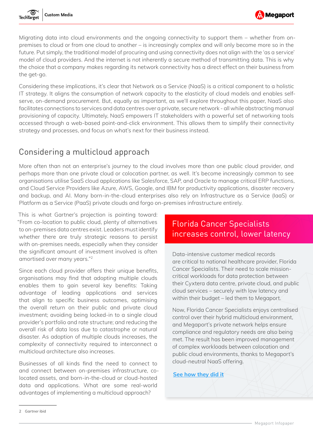



Migrating data into cloud environments and the ongoing connectivity to support them – whether from onpremises to cloud or from one cloud to another – is increasingly complex and will only become more so in the future. Put simply, the traditional model of procuring and using connectivity does not align with the 'as a service' model of cloud providers. And the internet is not inherently a secure method of transmitting data. This is why the choice that a company makes regarding its network connectivity has a direct effect on their business from the get-go.

Considering these implications, it's clear that Network as a Service (NaaS) is a critical component to a holistic IT strategy. It aligns the consumption of network capacity to the elasticity of cloud models and enables selfserve, on-demand procurement. But, equally as important, as we'll explore throughout this paper, NaaS also facilitates connections to services and data centres over a private, secure network - all while abstracting manual provisioning of capacity. Ultimately, NaaS empowers IT stakeholders with a powerful set of networking tools accessed through a web-based point-and-click environment. This allows them to simplify their connectivity strategy and processes, and focus on what's next for their business instead.

# Considering a multicloud approach

More often than not an enterprise's journey to the cloud involves more than one public cloud provider, and perhaps more than one private cloud or colocation partner, as well. It's become increasingly common to see organisations utilise SaaS cloud applications like Salesforce, SAP, and Oracle to manage critical ERP functions, and Cloud Service Providers like Azure, AWS, Google, and IBM for productivity applications, disaster recovery and backup, and AI. Many born-in-the-cloud enterprises also rely on Infrastructure as a Service (IaaS) or Platform as a Service (PaaS) private clouds and forgo on-premises infrastructure entirely.

This is what Gartner's projection is pointing toward: "From co-location to public cloud, plenty of alternatives to on-premises data centres exist. Leaders must identify whether there are truly strategic reasons to persist with on-premises needs, especially when they consider the significant amount of investment involved is often amortised over many years."2

Since each cloud provider offers their unique benefits, organisations may find that adopting multiple clouds enables them to gain several key benefits: Taking advantage of leading applications and services that align to specific business outcomes, optimising the overall return on their public and private cloud investment; avoiding being locked-in to a single cloud provider's portfolio and rate structure; and reducing the overall risk of data loss due to catastrophe or natural disaster. As adoption of multiple clouds increases, the complexity of connectivity required to interconnect a multicloud architecture also increases.

Businesses of all kinds find the need to connect to and connect between on-premises infrastructure, colocated assets, and born-in-the-cloud or cloud-hosted data and applications. What are some real-world advantages of implementing a multicloud approach?

# Florida Cancer Specialists increases control, lower latency

Data-intensive customer medical records are critical to national healthcare provider, Florida Cancer Specialists. Their need to scale missioncritical workloads for data protection between their Cyxtera data centre, private cloud, and public cloud services – securely with low latency and within their budget – led them to Megaport.

Now, Florida Cancer Specialists enjoys centralised control over their hybrid multicloud environment, and Megaport's private network helps ensure compliance and regulatory needs are also being met. The result has been improved management of complex workloads between colocation and public cloud environments, thanks to Megaport's cloud-neutral NaaS offering.

#### **[See how they did it](https://www.megaport.com/resources/customer-stories/?utm_source=tech-target&utm_medium=PDF&utm_campaign=CaseStudy)**

<sup>2</sup> Gartner ibid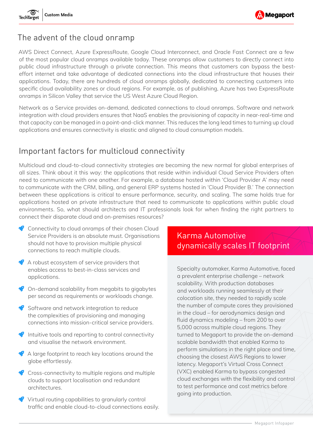



#### The advent of the cloud onramp

AWS Direct Connect, Azure ExpressRoute, Google Cloud Interconnect, and Oracle Fast Connect are a few of the most popular cloud onramps available today. These onramps allow customers to directly connect into public cloud infrastructure through a private connection. This means that customers can bypass the besteffort internet and take advantage of dedicated connections into the cloud infrastructure that houses their applications. Today, there are hundreds of cloud onramps globally, dedicated to connecting customers into specific cloud availability zones or cloud regions. For example, as of publishing, Azure has two ExpressRoute onramps in Silicon Valley that service the US West Azure Cloud Region.

Network as a Service provides on-demand, dedicated connections to cloud onramps. Software and network integration with cloud providers ensures that NaaS enables the provisioning of capacity in near-real-time and that capacity can be managed in a point-and-click manner. This reduces the long lead times to turning up cloud applications and ensures connectivity is elastic and aligned to cloud consumption models.

### Important factors for multicloud connectivity

Multicloud and cloud-to-cloud connectivity strategies are becoming the new normal for global enterprises of all sizes. Think about it this way: the applications that reside within individual Cloud Service Providers often need to communicate with one another. For example, a database hosted within 'Cloud Provider A' may need to communicate with the CRM, billing, and general ERP systems hosted in 'Cloud Provider B.' The connection between these applications is critical to ensure performance, security, and scaling. The same holds true for applications hosted on private infrastructure that need to communicate to applications within public cloud environments. So, what should architects and IT professionals look for when finding the right partners to connect their disparate cloud and on-premises resources?

- **Connectivity to cloud onramps of their chosen Cloud** Service Providers is an absolute must. Organisations should not have to provision multiple physical connections to reach multiple clouds.
- **P** A robust ecosystem of service providers that enables access to best-in-class services and applications.
- $\bullet$  On-demand scalability from megabits to gigabytes per second as requirements or workloads change.
- Goftware and network integration to reduce the complexities of provisioning and managing connections into mission-critical service providers.
- $\bullet$  Intuitive tools and reporting to control connectivity and visualise the network environment.
- **P** A large footprint to reach key locations around the globe effortlessly.
- **Cross-connectivity to multiple regions and multiple** clouds to support localisation and redundant architectures.
- Ģ Virtual routing capabilities to granularly control traffic and enable cloud-to-cloud connections easily.

# Karma Automotive dynamically scales IT footprint

Specialty automaker, Karma Automotive, faced a prevalent enterprise challenge – network scalability. With production databases and workloads running seamlessly at their colocation site, they needed to rapidly scale the number of compute cores they provisioned in the cloud – for aerodynamics design and fluid dynamics modeling – from 200 to over 5,000 across multiple cloud regions. They turned to Megaport to provide the on-demand scalable bandwidth that enabled Karma to perform simulations in the right place and time, choosing the closest AWS Regions to lower latency. Megaport's Virtual Cross Connect (VXC) enabled Karma to bypass congested cloud exchanges with the flexibility and control to test performance and cost metrics before going into production.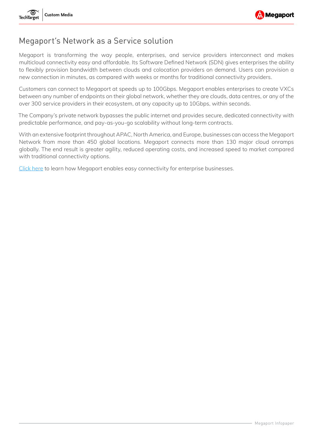



### Megaport's Network as a Service solution

Megaport is transforming the way people, enterprises, and service providers interconnect and makes multicloud connectivity easy and affordable. Its Software Defined Network (SDN) gives enterprises the ability to flexibly provision bandwidth between clouds and colocation providers on demand. Users can provision a new connection in minutes, as compared with weeks or months for traditional connectivity providers.

Customers can connect to Megaport at speeds up to 100Gbps. Megaport enables enterprises to create VXCs between any number of endpoints on their global network, whether they are clouds, data centres, or any of the over 300 service providers in their ecosystem, at any capacity up to 10Gbps, within seconds.

The Company's private network bypasses the public internet and provides secure, dedicated connectivity with predictable performance, and pay-as-you-go scalability without long-term contracts.

With an extensive footprint throughout APAC, North America, and Europe, businesses can access the Megaport Network from more than 450 global locations. Megaport connects more than 130 major cloud onramps globally. The end result is greater agility, reduced operating costs, and increased speed to market compared with traditional connectivity options.

[Click here](https://www.megaport.com/resources/customer-stories/?utm_source=tech-target&utm_medium=PDF&utm_campaign=CaseStudy) to learn how Megaport enables easy connectivity for enterprise businesses.